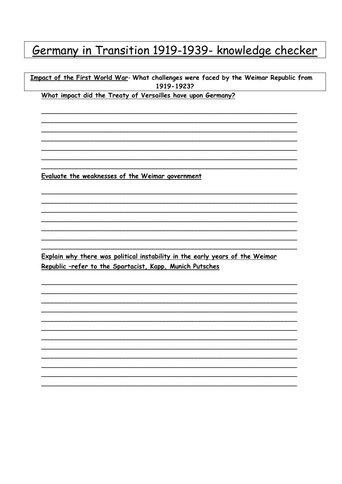## Germany in Transition 1919-1939- knowledge checker

Impact of the First World War- What challenges were faced by the Weimar Republic from 1919-1923?

What impact did the Treaty of Versailles have upon Germany?

Evaluate the weaknesses of the Weimar government

Explain why there was political instability in the early years of the Weimar Republic -refer to the Spartacist, Kapp, Munich Putsches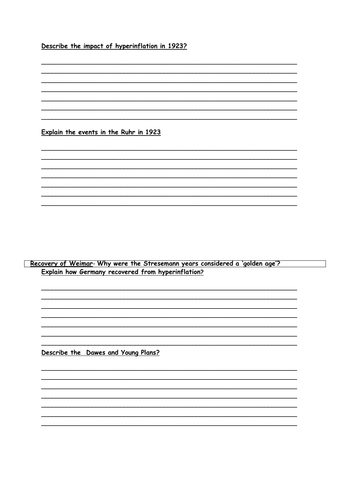Describe the impact of hyperinflation in 1923?

Explain the events in the Ruhr in 1923

Recovery of Weimar- Why were the Stresemann years considered a 'golden age'? **Explain how Germany recovered from hyperinflation?** 

Describe the Dawes and Young Plans?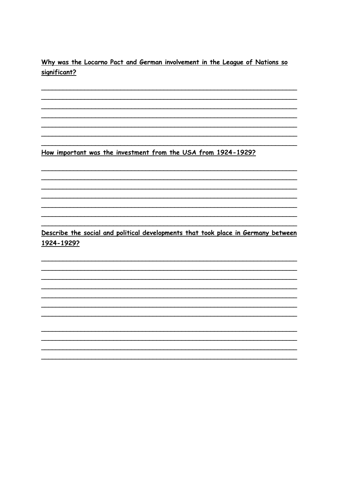Why was the Locarno Pact and German involvement in the League of Nations so significant?

How important was the investment from the USA from 1924-1929?

Describe the social and political developments that took place in Germany between 1924-1929?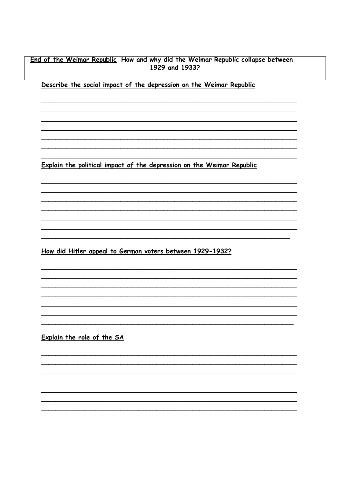## End of the Weimar Republic- How and why did the Weimar Republic collapse between 1929 and 1933?

Describe the social impact of the depression on the Weimar Republic

Explain the political impact of the depression on the Weimar Republic

How did Hitler appeal to German voters between 1929-1932?

Explain the role of the SA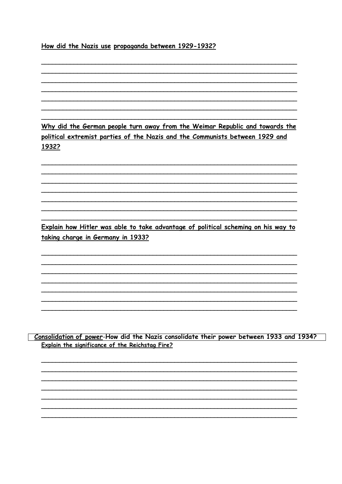## How did the Nazis use propaganda between 1929-1932?

Why did the German people turn away from the Weimar Republic and towards the political extremist parties of the Nazis and the Communists between 1929 and 1932?

Explain how Hitler was able to take advantage of political scheming on his way to taking charge in Germany in 1933?

Consolidation of power-How did the Nazis consolidate their power between 1933 and 1934? Explain the significance of the Reichstag Fire?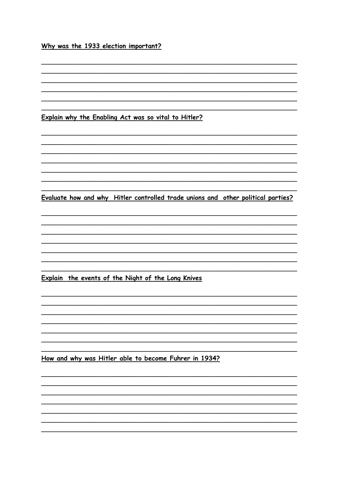## Why was the 1933 election important?

Explain why the Enabling Act was so vital to Hitler?

Evaluate how and why Hitler controlled trade unions and other political parties?

Explain the events of the Night of the Long Knives

How and why was Hitler able to become Fuhrer in 1934?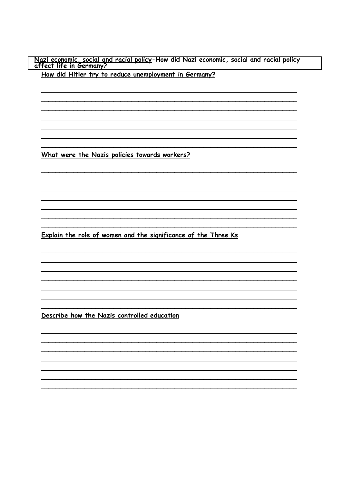Nazi economic, social and racial policy-How did Nazi economic, social and racial policy<br>affect life in Germany?

How did Hitler try to reduce unemployment in Germany?

What were the Nazis policies towards workers?

Explain the role of women and the significance of the Three Ks

Describe how the Nazis controlled education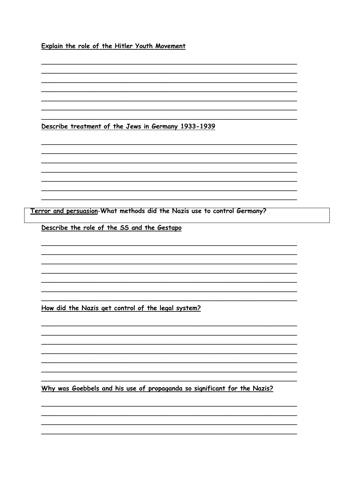Explain the role of the Hitler Youth Movement

Describe treatment of the Jews in Germany 1933-1939

Terror and persuasion-What methods did the Nazis use to control Germany?

Describe the role of the SS and the Gestapo

How did the Nazis get control of the legal system?

Why was Goebbels and his use of propaganda so significant for the Nazis?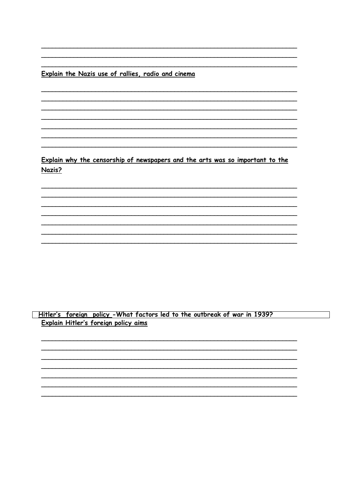Explain the Nazis use of rallies, radio and cinema

Explain why the censorship of newspapers and the arts was so important to the Nazis?

<u>| Hitler's foreign policy</u> -What factors led to the outbreak of war in 1939? Explain Hitler's foreign policy aims